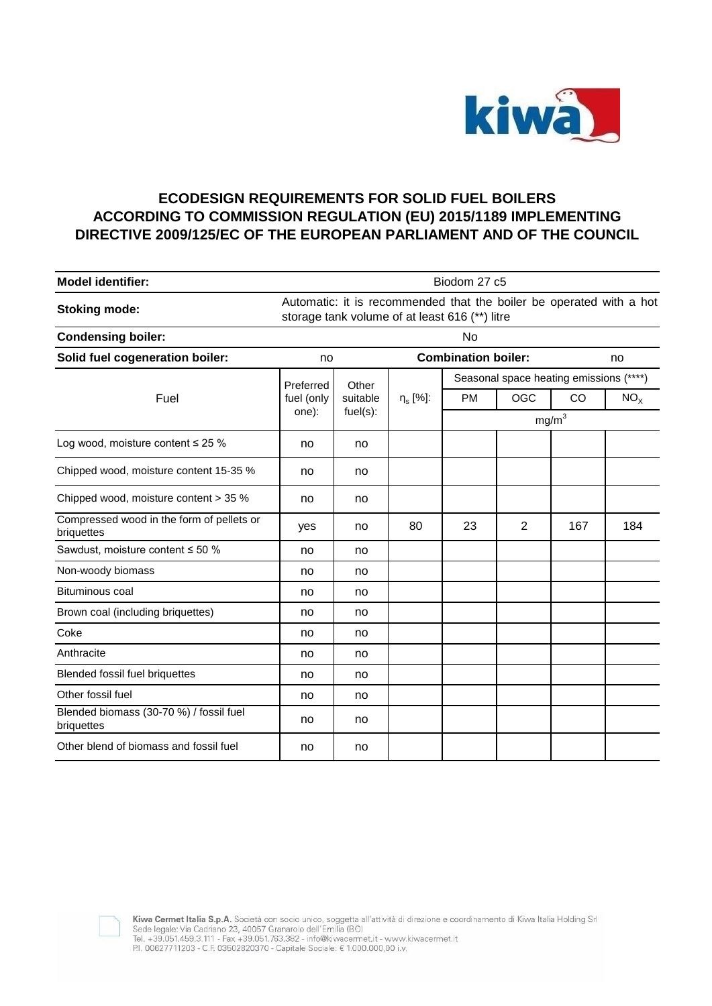

## **ECODESIGN REQUIREMENTS FOR SOLID FUEL BOILERS ACCORDING TO COMMISSION REGULATION (EU) 2015/1189 IMPLEMENTING DIRECTIVE 2009/125/EC OF THE EUROPEAN PARLIAMENT AND OF THE COUNCIL**

| <b>Model identifier:</b>                                | Biodom 27 c5                                                                                                          |                               |                            |                                         |                |     |                 |  |
|---------------------------------------------------------|-----------------------------------------------------------------------------------------------------------------------|-------------------------------|----------------------------|-----------------------------------------|----------------|-----|-----------------|--|
| <b>Stoking mode:</b>                                    | Automatic: it is recommended that the boiler be operated with a hot<br>storage tank volume of at least 616 (**) litre |                               |                            |                                         |                |     |                 |  |
| <b>Condensing boiler:</b>                               | No                                                                                                                    |                               |                            |                                         |                |     |                 |  |
| Solid fuel cogeneration boiler:                         | no                                                                                                                    |                               | <b>Combination boiler:</b> |                                         |                |     | no              |  |
| Fuel                                                    | Preferred<br>fuel (only<br>one):                                                                                      | Other<br>suitable<br>fuel(s): | $\eta_s$ [%]:              | Seasonal space heating emissions (****) |                |     |                 |  |
|                                                         |                                                                                                                       |                               |                            | <b>PM</b>                               | OGC            | CO  | NO <sub>x</sub> |  |
|                                                         |                                                                                                                       |                               |                            | $mg/m^3$                                |                |     |                 |  |
| Log wood, moisture content $\leq 25$ %                  | no                                                                                                                    | no                            |                            |                                         |                |     |                 |  |
| Chipped wood, moisture content 15-35 %                  | no                                                                                                                    | no                            |                            |                                         |                |     |                 |  |
| Chipped wood, moisture content > 35 %                   | no                                                                                                                    | no                            |                            |                                         |                |     |                 |  |
| Compressed wood in the form of pellets or<br>briquettes | yes                                                                                                                   | no                            | 80                         | 23                                      | $\overline{2}$ | 167 | 184             |  |
| Sawdust, moisture content $\leq 50$ %                   | no                                                                                                                    | no                            |                            |                                         |                |     |                 |  |
| Non-woody biomass                                       | no                                                                                                                    | no                            |                            |                                         |                |     |                 |  |
| <b>Bituminous coal</b>                                  | no                                                                                                                    | no                            |                            |                                         |                |     |                 |  |
| Brown coal (including briquettes)                       | no                                                                                                                    | no                            |                            |                                         |                |     |                 |  |
| Coke                                                    | no                                                                                                                    | no                            |                            |                                         |                |     |                 |  |
| Anthracite                                              | no                                                                                                                    | no                            |                            |                                         |                |     |                 |  |
| Blended fossil fuel briquettes                          | no                                                                                                                    | no                            |                            |                                         |                |     |                 |  |
| Other fossil fuel                                       | no                                                                                                                    | no                            |                            |                                         |                |     |                 |  |
| Blended biomass (30-70 %) / fossil fuel<br>briquettes   | no                                                                                                                    | no                            |                            |                                         |                |     |                 |  |
| Other blend of biomass and fossil fuel                  | no                                                                                                                    | no                            |                            |                                         |                |     |                 |  |



**Kiwa Cermet Italia S.p.A**. Società con socio unico, soggetta all'attività di direzione e coordinamento di Kiwa Italia Holding Srl<br>Sede legale: Via Cadriano 23, 40057 Granarolo dell'Emilia (BO)<br>Tel. +39.051.459.3.111 - Fa